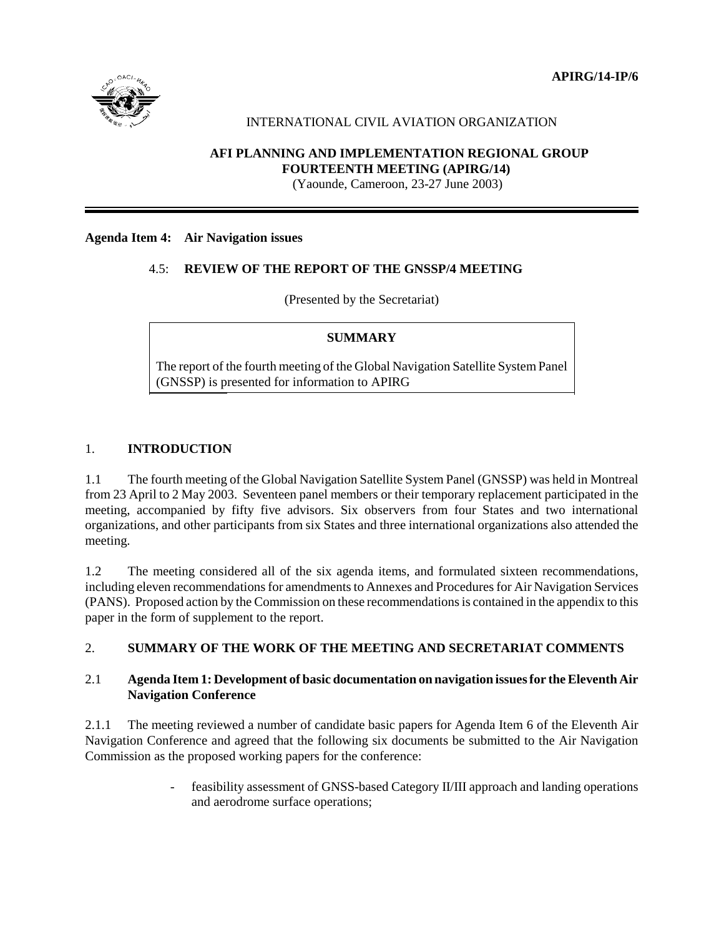**APIRG/14-IP/6**



### INTERNATIONAL CIVIL AVIATION ORGANIZATION

## **AFI PLANNING AND IMPLEMENTATION REGIONAL GROUP FOURTEENTH MEETING (APIRG/14)**

(Yaounde, Cameroon, 23-27 June 2003)

#### **Agenda Item 4: Air Navigation issues**

#### 4.5: **REVIEW OF THE REPORT OF THE GNSSP/4 MEETING**

(Presented by the Secretariat)

#### **SUMMARY**

The report of the fourth meeting of the Global Navigation Satellite System Panel (GNSSP) is presented for information to APIRG

## 1. **INTRODUCTION**

1.1 The fourth meeting of the Global Navigation Satellite System Panel (GNSSP) was held in Montreal from 23 April to 2 May 2003. Seventeen panel members or their temporary replacement participated in the meeting, accompanied by fifty five advisors. Six observers from four States and two international organizations, and other participants from six States and three international organizations also attended the meeting.

1.2 The meeting considered all of the six agenda items, and formulated sixteen recommendations, including eleven recommendations for amendments to Annexes and Procedures for Air Navigation Services (PANS). Proposed action by the Commission on these recommendations is contained in the appendix to this paper in the form of supplement to the report.

#### 2. **SUMMARY OF THE WORK OF THE MEETING AND SECRETARIAT COMMENTS**

## 2.1 **Agenda Item 1: Development of basic documentation on navigation issues for the Eleventh Air Navigation Conference**

2.1.1 The meeting reviewed a number of candidate basic papers for Agenda Item 6 of the Eleventh Air Navigation Conference and agreed that the following six documents be submitted to the Air Navigation Commission as the proposed working papers for the conference:

> feasibility assessment of GNSS-based Category II/III approach and landing operations and aerodrome surface operations;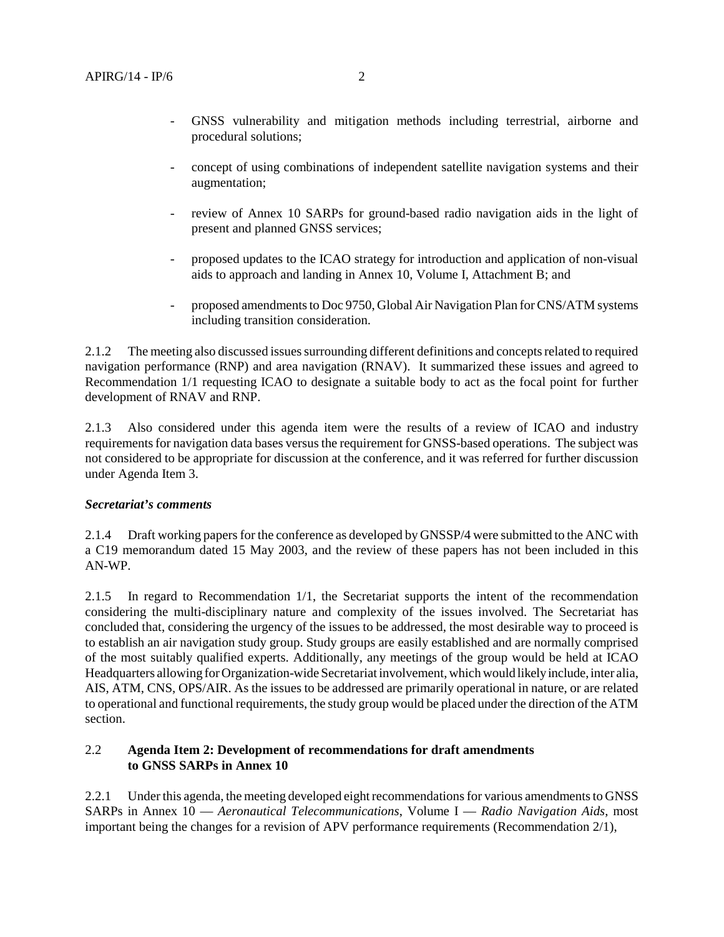- concept of using combinations of independent satellite navigation systems and their augmentation;
- review of Annex 10 SARPs for ground-based radio navigation aids in the light of present and planned GNSS services;
- proposed updates to the ICAO strategy for introduction and application of non-visual aids to approach and landing in Annex 10, Volume I, Attachment B; and
- proposed amendments to Doc 9750, Global Air Navigation Plan for CNS/ATM systems including transition consideration.

2.1.2 The meeting also discussed issues surrounding different definitions and concepts related to required navigation performance (RNP) and area navigation (RNAV). It summarized these issues and agreed to Recommendation 1/1 requesting ICAO to designate a suitable body to act as the focal point for further development of RNAV and RNP.

2.1.3 Also considered under this agenda item were the results of a review of ICAO and industry requirements for navigation data bases versus the requirement for GNSS-based operations. The subject was not considered to be appropriate for discussion at the conference, and it was referred for further discussion under Agenda Item 3.

#### *Secretariat's comments*

2.1.4 Draft working papers for the conference as developed by GNSSP/4 were submitted to the ANC with a C19 memorandum dated 15 May 2003, and the review of these papers has not been included in this AN-WP.

2.1.5 In regard to Recommendation 1/1, the Secretariat supports the intent of the recommendation considering the multi-disciplinary nature and complexity of the issues involved. The Secretariat has concluded that, considering the urgency of the issues to be addressed, the most desirable way to proceed is to establish an air navigation study group. Study groups are easily established and are normally comprised of the most suitably qualified experts. Additionally, any meetings of the group would be held at ICAO Headquarters allowing for Organization-wide Secretariat involvement, which would likely include, inter alia, AIS, ATM, CNS, OPS/AIR. As the issues to be addressed are primarily operational in nature, or are related to operational and functional requirements, the study group would be placed under the direction of the ATM section.

## 2.2 **Agenda Item 2: Development of recommendations for draft amendments to GNSS SARPs in Annex 10**

2.2.1 Under this agenda, the meeting developed eight recommendations for various amendments to GNSS SARPs in Annex 10 — *Aeronautical Telecommunications*, Volume I — *Radio Navigation Aids*, most important being the changes for a revision of APV performance requirements (Recommendation 2/1),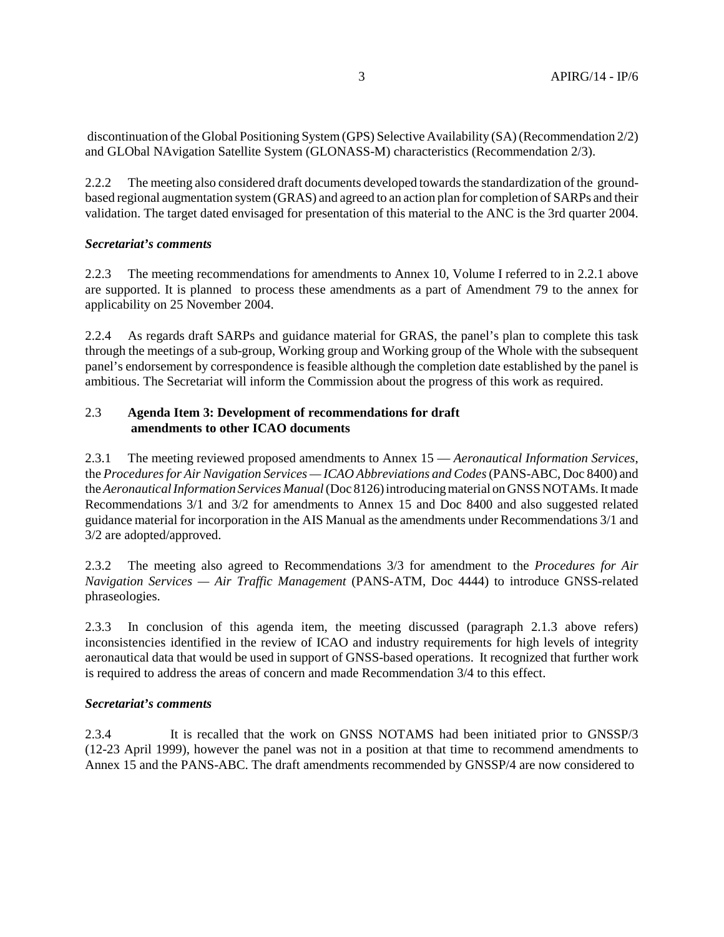discontinuation of the Global Positioning System (GPS) Selective Availability (SA) (Recommendation 2/2) and GLObal NAvigation Satellite System (GLONASS-M) characteristics (Recommendation 2/3).

2.2.2 The meeting also considered draft documents developed towards the standardization of the groundbased regional augmentation system (GRAS) and agreed to an action plan for completion of SARPs and their validation. The target dated envisaged for presentation of this material to the ANC is the 3rd quarter 2004.

#### *Secretariat's comments*

2.2.3 The meeting recommendations for amendments to Annex 10, Volume I referred to in 2.2.1 above are supported. It is planned to process these amendments as a part of Amendment 79 to the annex for applicability on 25 November 2004.

2.2.4 As regards draft SARPs and guidance material for GRAS, the panel's plan to complete this task through the meetings of a sub-group, Working group and Working group of the Whole with the subsequent panel's endorsement by correspondence is feasible although the completion date established by the panel is ambitious. The Secretariat will inform the Commission about the progress of this work as required.

#### 2.3 **Agenda Item 3: Development of recommendations for draft amendments to other ICAO documents**

2.3.1 The meeting reviewed proposed amendments to Annex 15 — *Aeronautical Information Services*, the *Procedures for Air Navigation Services — ICAO Abbreviations and Codes* (PANS-ABC, Doc 8400) and the *Aeronautical Information Services Manual* (Doc 8126) introducing material on GNSS NOTAMs. It made Recommendations 3/1 and 3/2 for amendments to Annex 15 and Doc 8400 and also suggested related guidance material for incorporation in the AIS Manual as the amendments under Recommendations 3/1 and 3/2 are adopted/approved.

2.3.2 The meeting also agreed to Recommendations 3/3 for amendment to the *Procedures for Air Navigation Services — Air Traffic Management* (PANS-ATM, Doc 4444) to introduce GNSS-related phraseologies.

2.3.3 In conclusion of this agenda item, the meeting discussed (paragraph 2.1.3 above refers) inconsistencies identified in the review of ICAO and industry requirements for high levels of integrity aeronautical data that would be used in support of GNSS-based operations. It recognized that further work is required to address the areas of concern and made Recommendation 3/4 to this effect.

#### *Secretariat's comments*

2.3.4 It is recalled that the work on GNSS NOTAMS had been initiated prior to GNSSP/3 (12-23 April 1999), however the panel was not in a position at that time to recommend amendments to Annex 15 and the PANS-ABC. The draft amendments recommended by GNSSP/4 are now considered to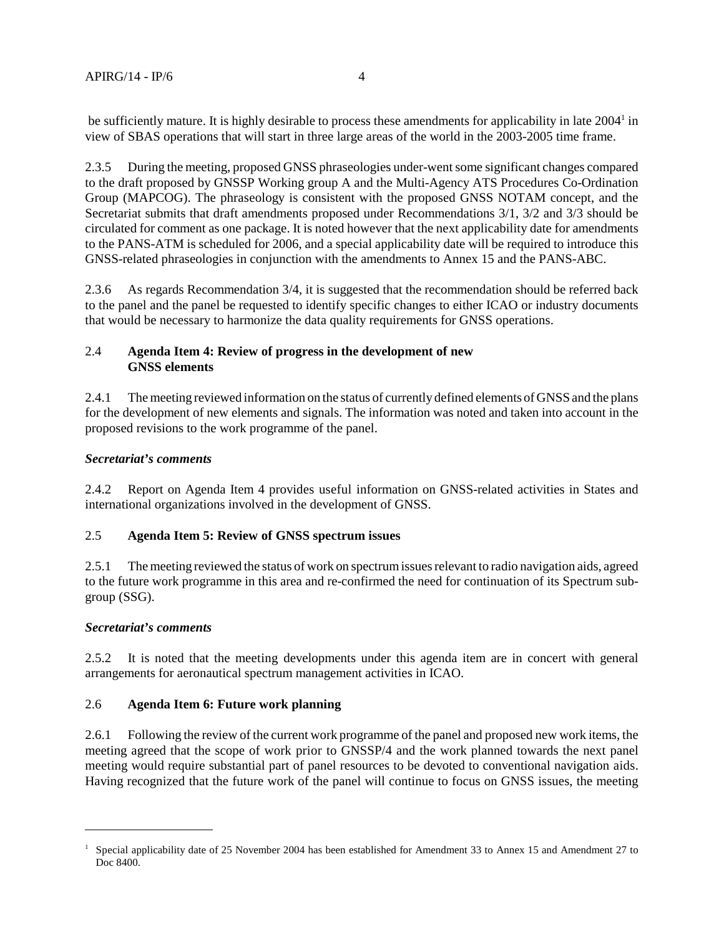be sufficiently mature. It is highly desirable to process these amendments for applicability in late 2004<sup>1</sup> in view of SBAS operations that will start in three large areas of the world in the 2003-2005 time frame.

2.3.5 During the meeting, proposed GNSS phraseologies under-went some significant changes compared to the draft proposed by GNSSP Working group A and the Multi-Agency ATS Procedures Co-Ordination Group (MAPCOG). The phraseology is consistent with the proposed GNSS NOTAM concept, and the Secretariat submits that draft amendments proposed under Recommendations 3/1, 3/2 and 3/3 should be circulated for comment as one package. It is noted however that the next applicability date for amendments to the PANS-ATM is scheduled for 2006, and a special applicability date will be required to introduce this GNSS-related phraseologies in conjunction with the amendments to Annex 15 and the PANS-ABC.

2.3.6 As regards Recommendation 3/4, it is suggested that the recommendation should be referred back to the panel and the panel be requested to identify specific changes to either ICAO or industry documents that would be necessary to harmonize the data quality requirements for GNSS operations.

## 2.4 **Agenda Item 4: Review of progress in the development of new GNSS elements**

2.4.1 The meeting reviewed information on the status of currently defined elements of GNSS and the plans for the development of new elements and signals. The information was noted and taken into account in the proposed revisions to the work programme of the panel.

## *Secretariat's comments*

2.4.2 Report on Agenda Item 4 provides useful information on GNSS-related activities in States and international organizations involved in the development of GNSS.

# 2.5 **Agenda Item 5: Review of GNSS spectrum issues**

2.5.1 The meeting reviewed the status of work on spectrum issues relevant to radio navigation aids, agreed to the future work programme in this area and re-confirmed the need for continuation of its Spectrum subgroup (SSG).

#### *Secretariat's comments*

2.5.2 It is noted that the meeting developments under this agenda item are in concert with general arrangements for aeronautical spectrum management activities in ICAO.

#### 2.6 **Agenda Item 6: Future work planning**

2.6.1 Following the review of the current work programme of the panel and proposed new work items, the meeting agreed that the scope of work prior to GNSSP/4 and the work planned towards the next panel meeting would require substantial part of panel resources to be devoted to conventional navigation aids. Having recognized that the future work of the panel will continue to focus on GNSS issues, the meeting

<sup>1</sup> Special applicability date of 25 November 2004 has been established for Amendment 33 to Annex 15 and Amendment 27 to Doc 8400.